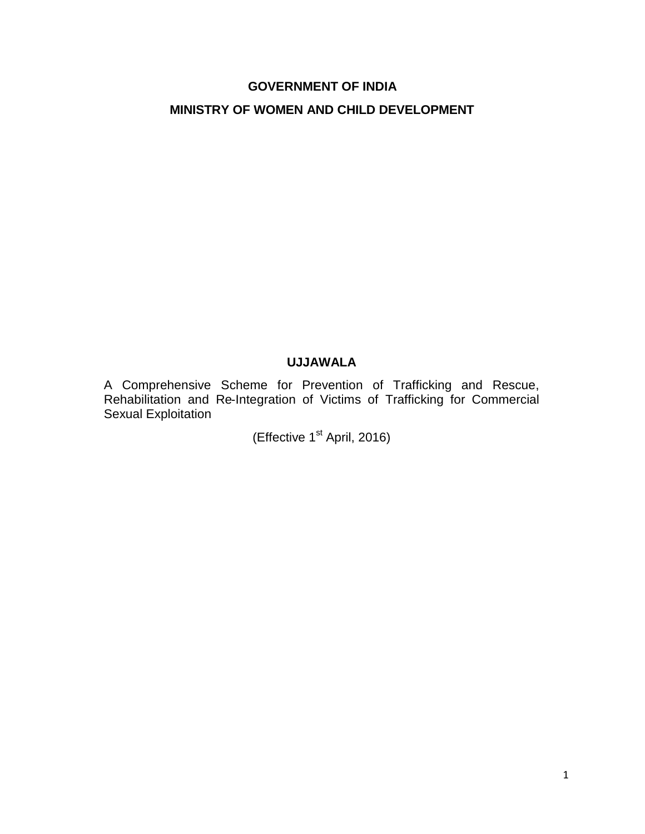# **GOVERNMENT OF INDIA MINISTRY OF WOMEN AND CHILD DEVELOPMENT**

#### **UJJAWALA**

A Comprehensive Scheme for Prevention of Trafficking and Rescue, Rehabilitation and Re-Integration of Victims of Trafficking for Commercial Sexual Exploitation

(Effective 1<sup>st</sup> April, 2016)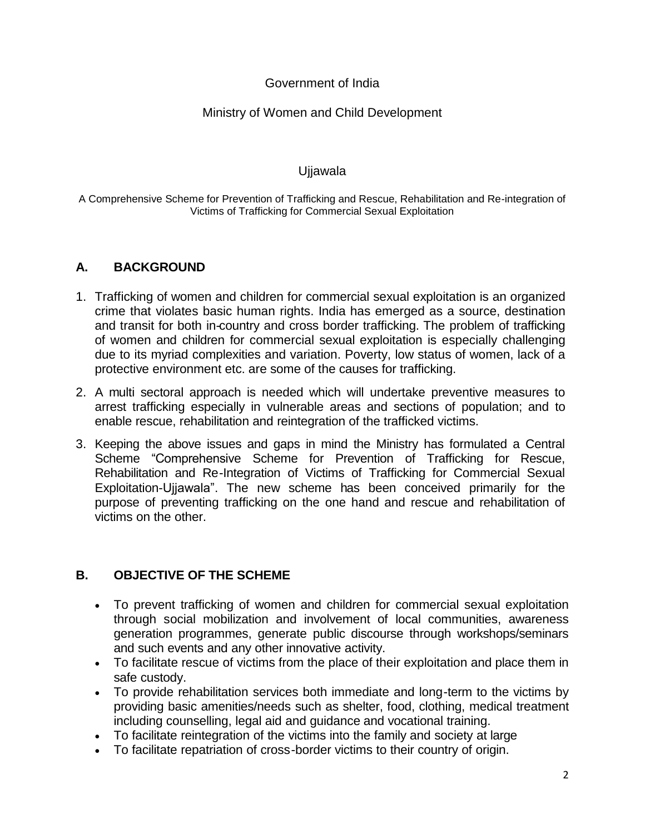# Government of India

# Ministry of Women and Child Development

#### Ujjawala

A Comprehensive Scheme for Prevention of Trafficking and Rescue, Rehabilitation and Re-integration of Victims of Trafficking for Commercial Sexual Exploitation

#### **A. BACKGROUND**

- 1. Trafficking of women and children for commercial sexual exploitation is an organized crime that violates basic human rights. India has emerged as a source, destination and transit for both in-country and cross border trafficking. The problem of trafficking of women and children for commercial sexual exploitation is especially challenging due to its myriad complexities and variation. Poverty, low status of women, lack of a protective environment etc. are some of the causes for trafficking.
- 2. A multi sectoral approach is needed which will undertake preventive measures to arrest trafficking especially in vulnerable areas and sections of population; and to enable rescue, rehabilitation and reintegration of the trafficked victims.
- 3. Keeping the above issues and gaps in mind the Ministry has formulated a Central Scheme "Comprehensive Scheme for Prevention of Trafficking for Rescue, Rehabilitation and Re-Integration of Victims of Trafficking for Commercial Sexual Exploitation-Ujjawala". The new scheme has been conceived primarily for the purpose of preventing trafficking on the one hand and rescue and rehabilitation of victims on the other.

# **B. OBJECTIVE OF THE SCHEME**

- To prevent trafficking of women and children for commercial sexual exploitation through social mobilization and involvement of local communities, awareness generation programmes, generate public discourse through workshops/seminars and such events and any other innovative activity.
- To facilitate rescue of victims from the place of their exploitation and place them in safe custody.
- To provide rehabilitation services both immediate and long-term to the victims by providing basic amenities/needs such as shelter, food, clothing, medical treatment including counselling, legal aid and guidance and vocational training.
- To facilitate reintegration of the victims into the family and society at large
- To facilitate repatriation of cross-border victims to their country of origin.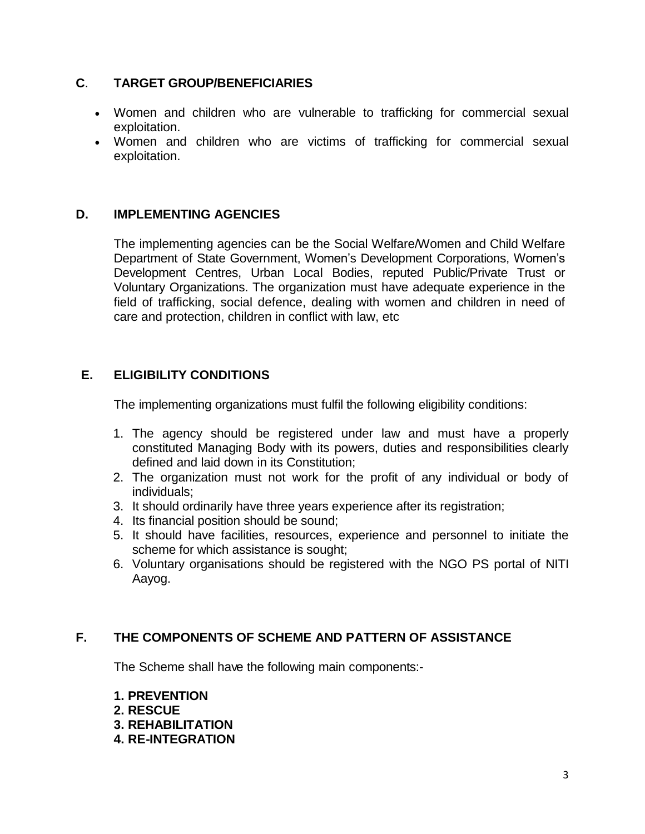# **C**. **TARGET GROUP/BENEFICIARIES**

- Women and children who are vulnerable to trafficking for commercial sexual exploitation.
- Women and children who are victims of trafficking for commercial sexual exploitation.

# **D. IMPLEMENTING AGENCIES**

The implementing agencies can be the Social Welfare/Women and Child Welfare Department of State Government, Women"s Development Corporations, Women"s Development Centres, Urban Local Bodies, reputed Public/Private Trust or Voluntary Organizations. The organization must have adequate experience in the field of trafficking, social defence, dealing with women and children in need of care and protection, children in conflict with law, etc

# **E. ELIGIBILITY CONDITIONS**

The implementing organizations must fulfil the following eligibility conditions:

- 1. The agency should be registered under law and must have a properly constituted Managing Body with its powers, duties and responsibilities clearly defined and laid down in its Constitution;
- 2. The organization must not work for the profit of any individual or body of individuals;
- 3. It should ordinarily have three years experience after its registration;
- 4. Its financial position should be sound;
- 5. It should have facilities, resources, experience and personnel to initiate the scheme for which assistance is sought;
- 6. Voluntary organisations should be registered with the NGO PS portal of NITI Aayog.

# **F. THE COMPONENTS OF SCHEME AND PATTERN OF ASSISTANCE**

The Scheme shall have the following main components:-

**1. PREVENTION 2. RESCUE 3. REHABILITATION 4. RE-INTEGRATION**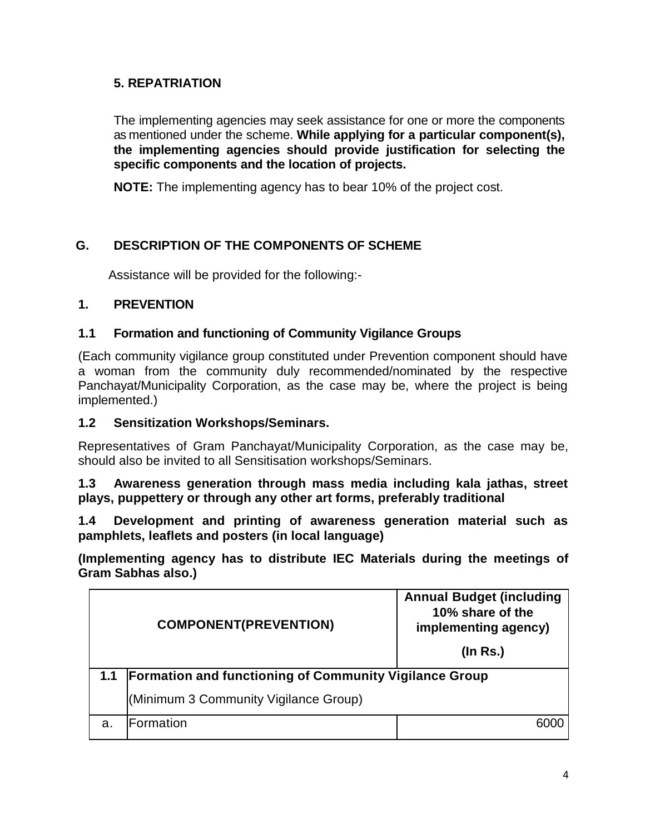# **5. REPATRIATION**

The implementing agencies may seek assistance for one or more the components as mentioned under the scheme. **While applying for a particular component(s), the implementing agencies should provide justification for selecting the specific components and the location of projects.**

**NOTE:** The implementing agency has to bear 10% of the project cost.

# **G. DESCRIPTION OF THE COMPONENTS OF SCHEME**

Assistance will be provided for the following:-

# **1. PREVENTION**

# **1.1 Formation and functioning of Community Vigilance Groups**

(Each community vigilance group constituted under Prevention component should have a woman from the community duly recommended/nominated by the respective Panchayat/Municipality Corporation, as the case may be, where the project is being implemented.)

## **1.2 Sensitization Workshops/Seminars.**

Representatives of Gram Panchayat/Municipality Corporation, as the case may be, should also be invited to all Sensitisation workshops/Seminars.

**1.3 Awareness generation through mass media including kala jathas, street plays, puppettery or through any other art forms, preferably traditional**

**1.4 Development and printing of awareness generation material such as pamphlets, leaflets and posters (in local language)**

**(Implementing agency has to distribute IEC Materials during the meetings of Gram Sabhas also.)**

| <b>COMPONENT(PREVENTION)</b> |                                                               | <b>Annual Budget (including</b><br>10% share of the<br>implementing agency)<br>$($ ln Rs. $)$ |  |
|------------------------------|---------------------------------------------------------------|-----------------------------------------------------------------------------------------------|--|
| 1.1                          | <b>Formation and functioning of Community Vigilance Group</b> |                                                                                               |  |
|                              | (Minimum 3 Community Vigilance Group)                         |                                                                                               |  |
| a.                           | Formation                                                     |                                                                                               |  |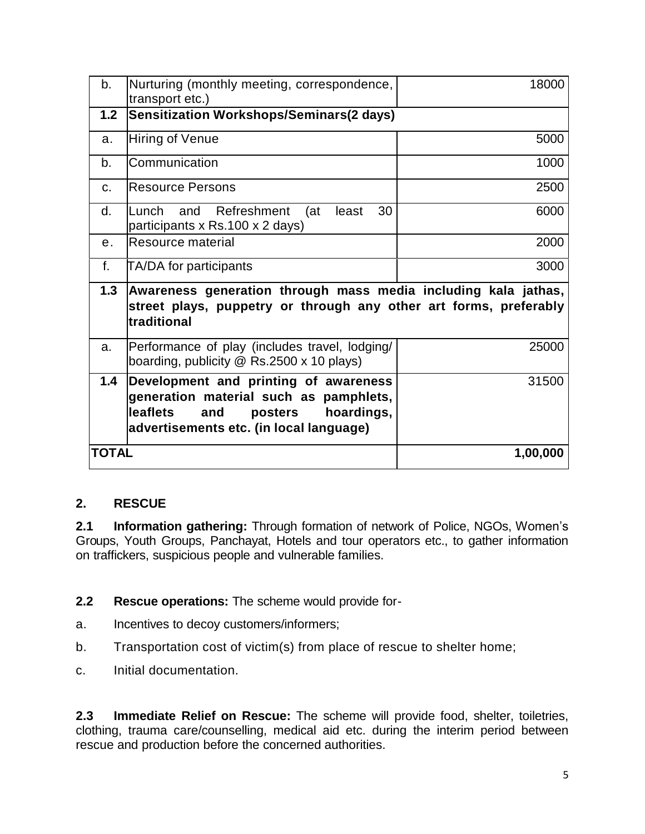| b.             | Nurturing (monthly meeting, correspondence,<br>transport etc.)                                                                                                                | 18000    |
|----------------|-------------------------------------------------------------------------------------------------------------------------------------------------------------------------------|----------|
| 1.2            | Sensitization Workshops/Seminars(2 days)                                                                                                                                      |          |
| a.             | Hiring of Venue                                                                                                                                                               | 5000     |
| b.             | Communication                                                                                                                                                                 | 1000     |
| $C_{n}$        | <b>Resource Persons</b>                                                                                                                                                       | 2500     |
| d.             | Refreshment<br>30<br>Lunch<br>and<br>(at<br>least<br>participants x Rs.100 x 2 days)                                                                                          | 6000     |
| e <sub>1</sub> | Resource material                                                                                                                                                             | 2000     |
| f.             | TA/DA for participants                                                                                                                                                        | 3000     |
| 1.3            | Awareness generation through mass media including kala jathas,<br>street plays, puppetry or through any other art forms, preferably<br>traditional                            |          |
| a.             | Performance of play (includes travel, lodging/<br>boarding, publicity $@$ Rs.2500 x 10 plays)                                                                                 | 25000    |
| 1.4            | Development and printing of awareness<br>generation material such as pamphlets,<br><b>leaflets</b><br>hoardings,<br>and<br>posters<br>advertisements etc. (in local language) | 31500    |
| TOTAL          |                                                                                                                                                                               | 1,00,000 |

# **2. RESCUE**

**2.1 Information gathering:** Through formation of network of Police, NGOs, Women"s Groups, Youth Groups, Panchayat, Hotels and tour operators etc., to gather information on traffickers, suspicious people and vulnerable families.

**2.2 Rescue operations:** The scheme would provide for-

- a. Incentives to decoy customers/informers;
- b. Transportation cost of victim(s) from place of rescue to shelter home;
- c. Initial documentation.

**2.3 Immediate Relief on Rescue:** The scheme will provide food, shelter, toiletries, clothing, trauma care/counselling, medical aid etc. during the interim period between rescue and production before the concerned authorities.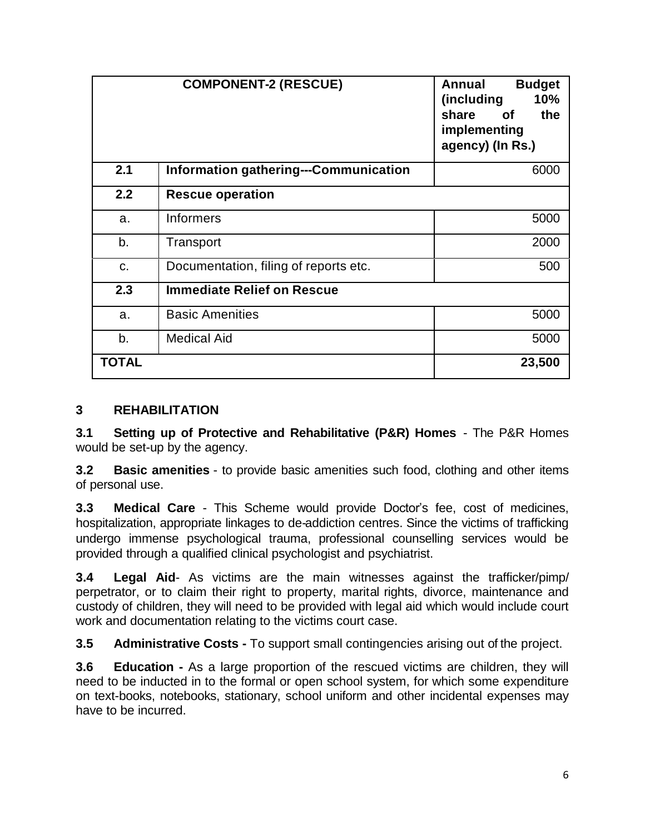|              | <b>COMPONENT-2 (RESCUE)</b>                  | Annual<br><b>Budget</b><br>(including<br>10%<br>share<br>the<br>of .<br>implementing<br>agency) (In Rs.) |
|--------------|----------------------------------------------|----------------------------------------------------------------------------------------------------------|
| 2.1          | <b>Information gathering---Communication</b> | 6000                                                                                                     |
| 2.2          | <b>Rescue operation</b>                      |                                                                                                          |
| a.           | Informers                                    | 5000                                                                                                     |
| b.           | Transport                                    | 2000                                                                                                     |
| C.           | Documentation, filing of reports etc.        | 500                                                                                                      |
| 2.3          | <b>Immediate Relief on Rescue</b>            |                                                                                                          |
| a.           | <b>Basic Amenities</b>                       | 5000                                                                                                     |
| b.           | <b>Medical Aid</b>                           | 5000                                                                                                     |
| <b>TOTAL</b> |                                              | 23,500                                                                                                   |

# **3 REHABILITATION**

**3.1 Setting up of Protective and Rehabilitative (P&R) Homes** - The P&R Homes would be set-up by the agency.

**3.2 Basic amenities** - to provide basic amenities such food, clothing and other items of personal use.

**3.3 Medical Care** - This Scheme would provide Doctor's fee, cost of medicines, hospitalization, appropriate linkages to de-addiction centres. Since the victims of trafficking undergo immense psychological trauma, professional counselling services would be provided through a qualified clinical psychologist and psychiatrist.

**3.4 Legal Aid**- As victims are the main witnesses against the trafficker/pimp/ perpetrator, or to claim their right to property, marital rights, divorce, maintenance and custody of children, they will need to be provided with legal aid which would include court work and documentation relating to the victims court case.

**3.5 Administrative Costs -** To support small contingencies arising out of the project.

**3.6 Education -** As a large proportion of the rescued victims are children, they will need to be inducted in to the formal or open school system, for which some expenditure on text-books, notebooks, stationary, school uniform and other incidental expenses may have to be incurred.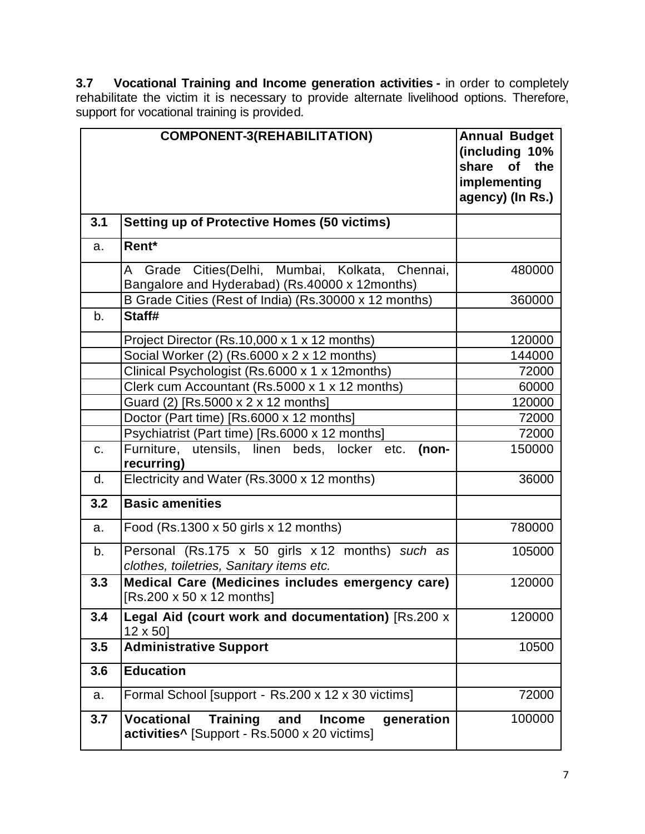**3.7 Vocational Training and Income generation activities -** in order to completely rehabilitate the victim it is necessary to provide alternate livelihood options. Therefore, support for vocational training is provided.

|     | <b>COMPONENT-3(REHABILITATION)</b>                                                                                                     | <b>Annual Budget</b><br>(including 10%<br>share<br><b>of</b><br>the<br>implementing<br>agency) (In Rs.) |
|-----|----------------------------------------------------------------------------------------------------------------------------------------|---------------------------------------------------------------------------------------------------------|
| 3.1 | <b>Setting up of Protective Homes (50 victims)</b>                                                                                     |                                                                                                         |
| a.  | Rent*                                                                                                                                  |                                                                                                         |
|     | A Grade Cities(Delhi, Mumbai, Kolkata, Chennai,<br>Bangalore and Hyderabad) (Rs.40000 x 12months)                                      | 480000                                                                                                  |
|     | B Grade Cities (Rest of India) (Rs.30000 x 12 months)                                                                                  | 360000                                                                                                  |
| b.  | Staff#                                                                                                                                 |                                                                                                         |
|     | Project Director (Rs.10,000 x 1 x 12 months)                                                                                           | 120000                                                                                                  |
|     | Social Worker (2) (Rs.6000 x 2 x 12 months)                                                                                            | 144000                                                                                                  |
|     | Clinical Psychologist (Rs.6000 x 1 x 12months)                                                                                         | 72000                                                                                                   |
|     | Clerk cum Accountant (Rs.5000 x 1 x 12 months)                                                                                         | 60000                                                                                                   |
|     | Guard (2) [Rs.5000 x 2 x 12 months]                                                                                                    | 120000                                                                                                  |
|     | Doctor (Part time) [Rs.6000 x 12 months]                                                                                               | 72000                                                                                                   |
|     | Psychiatrist (Part time) [Rs.6000 x 12 months]                                                                                         | 72000                                                                                                   |
| C.  | Furniture, utensils, linen beds, locker etc.<br>(non-<br>recurring)                                                                    | 150000                                                                                                  |
| d.  | Electricity and Water (Rs.3000 x 12 months)                                                                                            | 36000                                                                                                   |
| 3.2 | <b>Basic amenities</b>                                                                                                                 |                                                                                                         |
| a.  | Food (Rs.1300 $x$ 50 girls $x$ 12 months)                                                                                              | 780000                                                                                                  |
| b.  | Personal (Rs.175 x 50 girls x 12 months) such as<br>clothes, toiletries, Sanitary items etc.                                           | 105000                                                                                                  |
| 3.3 | Medical Care (Medicines includes emergency care)<br>[Rs.200 x 50 x 12 months]                                                          | 120000                                                                                                  |
| 3.4 | Legal Aid (court work and documentation) [Rs.200 x<br>12 x 50]                                                                         | 120000                                                                                                  |
| 3.5 | <b>Administrative Support</b>                                                                                                          | 10500                                                                                                   |
| 3.6 | <b>Education</b>                                                                                                                       |                                                                                                         |
| a.  | Formal School [support - Rs.200 x 12 x 30 victims]                                                                                     | 72000                                                                                                   |
| 3.7 | <b>Vocational</b><br><b>Training</b><br>and<br><b>Income</b><br>generation<br>activities <sup>^</sup> [Support - Rs.5000 x 20 victims] | 100000                                                                                                  |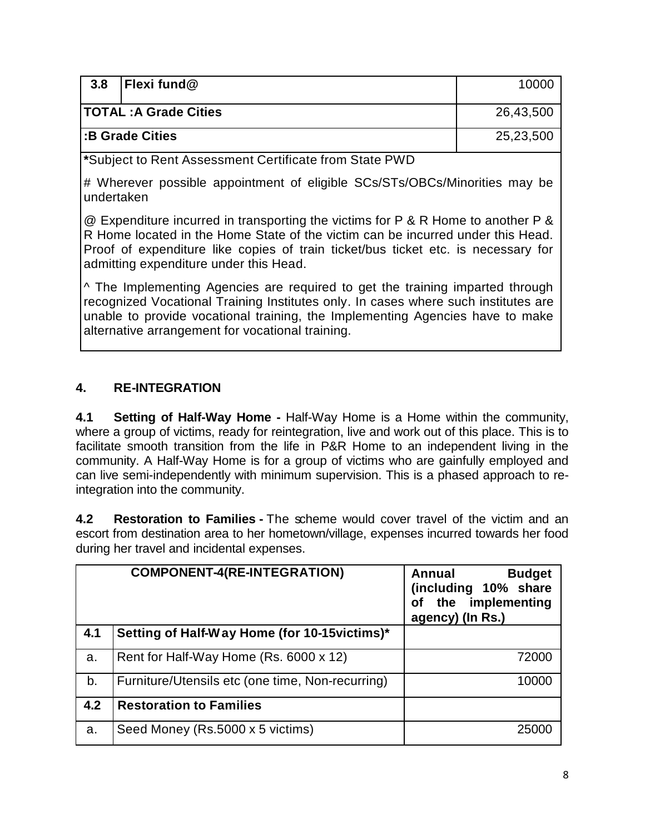| 3.8<br><b>Flexi fund@</b>    |  | 10000     |
|------------------------------|--|-----------|
| <b>TOTAL: A Grade Cities</b> |  | 26,43,500 |
| <b>B</b> Grade Cities        |  | 25,23,500 |

**\***Subject to Rent Assessment Certificate from State PWD

# Wherever possible appointment of eligible SCs/STs/OBCs/Minorities may be undertaken

@ Expenditure incurred in transporting the victims for P & R Home to another P & R Home located in the Home State of the victim can be incurred under this Head. Proof of expenditure like copies of train ticket/bus ticket etc. is necessary for admitting expenditure under this Head.

^ The Implementing Agencies are required to get the training imparted through recognized Vocational Training Institutes only. In cases where such institutes are unable to provide vocational training, the Implementing Agencies have to make alternative arrangement for vocational training.

# **4. RE-INTEGRATION**

**4.1 Setting of Half-Way Home -** Half-Way Home is a Home within the community, where a group of victims, ready for reintegration, live and work out of this place. This is to facilitate smooth transition from the life in P&R Home to an independent living in the community. A Half-Way Home is for a group of victims who are gainfully employed and can live semi-independently with minimum supervision. This is a phased approach to reintegration into the community.

**4.2 Restoration to Families -** The scheme would cover travel of the victim and an escort from destination area to her hometown/village, expenses incurred towards her food during her travel and incidental expenses.

|     | <b>COMPONENT-4(RE-INTEGRATION)</b>               | <b>Budget</b><br>Annual<br>(including 10% share<br>the implementing<br>Οf<br>agency) (In Rs.) |
|-----|--------------------------------------------------|-----------------------------------------------------------------------------------------------|
| 4.1 | Setting of Half-Way Home (for 10-15 victims)*    |                                                                                               |
| a.  | Rent for Half-Way Home (Rs. 6000 x 12)           | 72000                                                                                         |
| b.  | Furniture/Utensils etc (one time, Non-recurring) | 10000                                                                                         |
| 4.2 | <b>Restoration to Families</b>                   |                                                                                               |
| a.  | Seed Money (Rs.5000 x 5 victims)                 | 25000                                                                                         |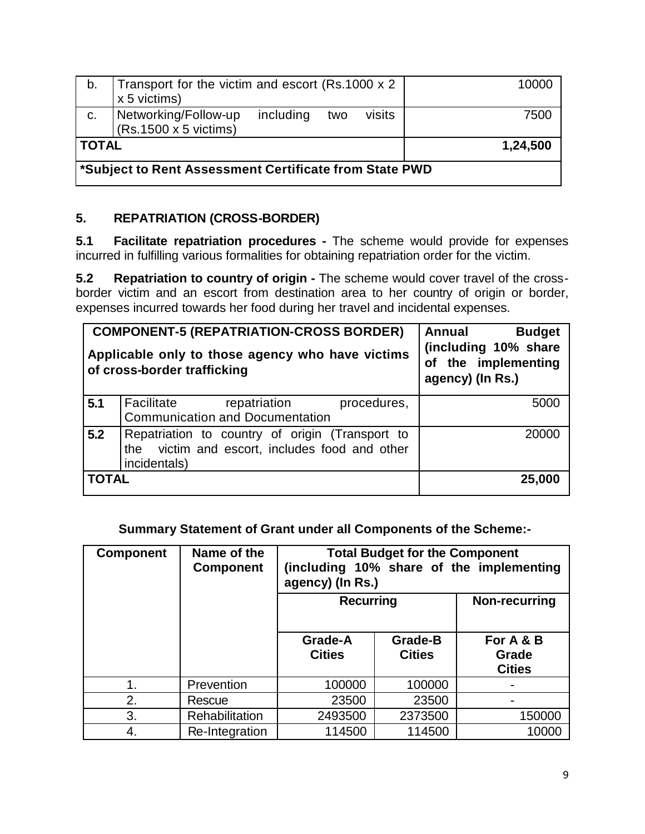| b.                                                     | Transport for the victim and escort (Rs.1000 x 2<br>x 5 victims) |           |     |        | 10000 |
|--------------------------------------------------------|------------------------------------------------------------------|-----------|-----|--------|-------|
| C.                                                     | Networking/Follow-up<br>$(Rs.1500 \times 5$ victims)             | including | two | visits | 7500  |
| <b>TOTAL</b><br>1,24,500                               |                                                                  |           |     |        |       |
| *Subject to Rent Assessment Certificate from State PWD |                                                                  |           |     |        |       |

# **5. REPATRIATION (CROSS-BORDER)**

**5.1 Facilitate repatriation procedures -** The scheme would provide for expenses incurred in fulfilling various formalities for obtaining repatriation order for the victim.

**5.2 Repatriation to country of origin -** The scheme would cover travel of the crossborder victim and an escort from destination area to her country of origin or border, expenses incurred towards her food during her travel and incidental expenses.

|              | <b>COMPONENT-5 (REPATRIATION-CROSS BORDER)</b><br>Applicable only to those agency who have victims<br>of cross-border trafficking | Annual<br><b>Budget</b><br>(including 10% share<br>of the implementing<br>agency) (In Rs.) |
|--------------|-----------------------------------------------------------------------------------------------------------------------------------|--------------------------------------------------------------------------------------------|
| 5.1          | Facilitate<br>repatriation<br>procedures,<br><b>Communication and Documentation</b>                                               | 5000                                                                                       |
| 5.2          | Repatriation to country of origin (Transport to<br>victim and escort, includes food and other<br>the<br>incidentals)              | 20000                                                                                      |
| <b>TOTAL</b> |                                                                                                                                   | 25,000                                                                                     |

# **Summary Statement of Grant under all Components of the Scheme:-**

| <b>Component</b> | Name of the<br><b>Component</b> | <b>Total Budget for the Component</b><br>(including 10% share of the implementing<br>agency) (In Rs.) |                                 |                                     |
|------------------|---------------------------------|-------------------------------------------------------------------------------------------------------|---------------------------------|-------------------------------------|
|                  |                                 | <b>Recurring</b>                                                                                      |                                 | Non-recurring                       |
|                  |                                 | Grade-A<br><b>Cities</b>                                                                              | <b>Grade-B</b><br><b>Cities</b> | For A & B<br>Grade<br><b>Cities</b> |
|                  | Prevention                      | 100000                                                                                                | 100000                          |                                     |
| 2.               | Rescue                          | 23500                                                                                                 | 23500                           |                                     |
| 3.               | <b>Rehabilitation</b>           | 2493500                                                                                               | 2373500                         | 150000                              |
| 4.               | Re-Integration                  | 114500                                                                                                | 114500                          | 10000                               |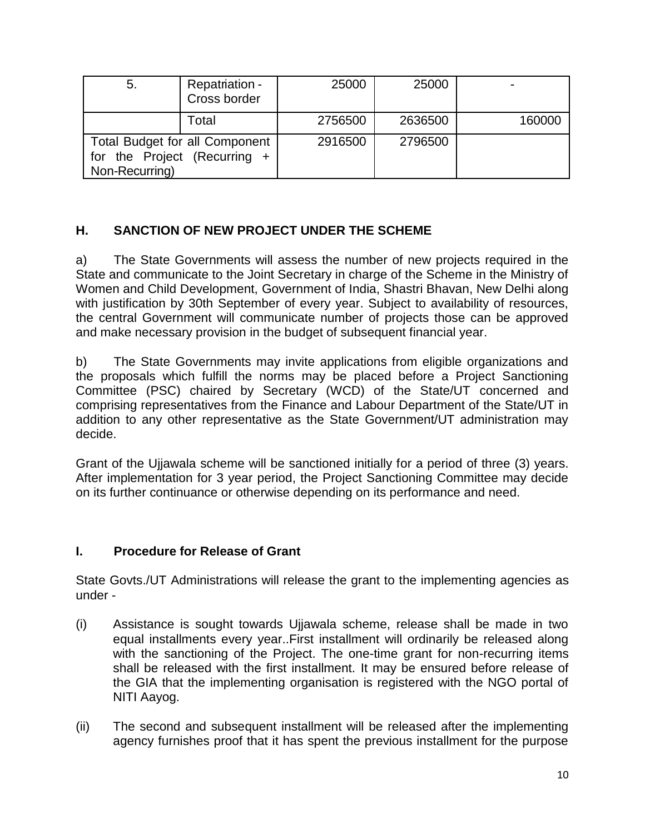| 5.                                                                               | Repatriation -<br>Cross border | 25000   | 25000   |        |
|----------------------------------------------------------------------------------|--------------------------------|---------|---------|--------|
|                                                                                  | Total                          | 2756500 | 2636500 | 160000 |
| Total Budget for all Component<br>for the Project (Recurring +<br>Non-Recurring) |                                | 2916500 | 2796500 |        |

# **H. SANCTION OF NEW PROJECT UNDER THE SCHEME**

a) The State Governments will assess the number of new projects required in the State and communicate to the Joint Secretary in charge of the Scheme in the Ministry of Women and Child Development, Government of India, Shastri Bhavan, New Delhi along with justification by 30th September of every year. Subject to availability of resources, the central Government will communicate number of projects those can be approved and make necessary provision in the budget of subsequent financial year.

b) The State Governments may invite applications from eligible organizations and the proposals which fulfill the norms may be placed before a Project Sanctioning Committee (PSC) chaired by Secretary (WCD) of the State/UT concerned and comprising representatives from the Finance and Labour Department of the State/UT in addition to any other representative as the State Government/UT administration may decide.

Grant of the Ujjawala scheme will be sanctioned initially for a period of three (3) years. After implementation for 3 year period, the Project Sanctioning Committee may decide on its further continuance or otherwise depending on its performance and need.

# **I. Procedure for Release of Grant**

State Govts./UT Administrations will release the grant to the implementing agencies as under -

- (i) Assistance is sought towards Ujjawala scheme, release shall be made in two equal installments every year..First installment will ordinarily be released along with the sanctioning of the Project. The one-time grant for non-recurring items shall be released with the first installment. It may be ensured before release of the GIA that the implementing organisation is registered with the NGO portal of NITI Aayog.
- (ii) The second and subsequent installment will be released after the implementing agency furnishes proof that it has spent the previous installment for the purpose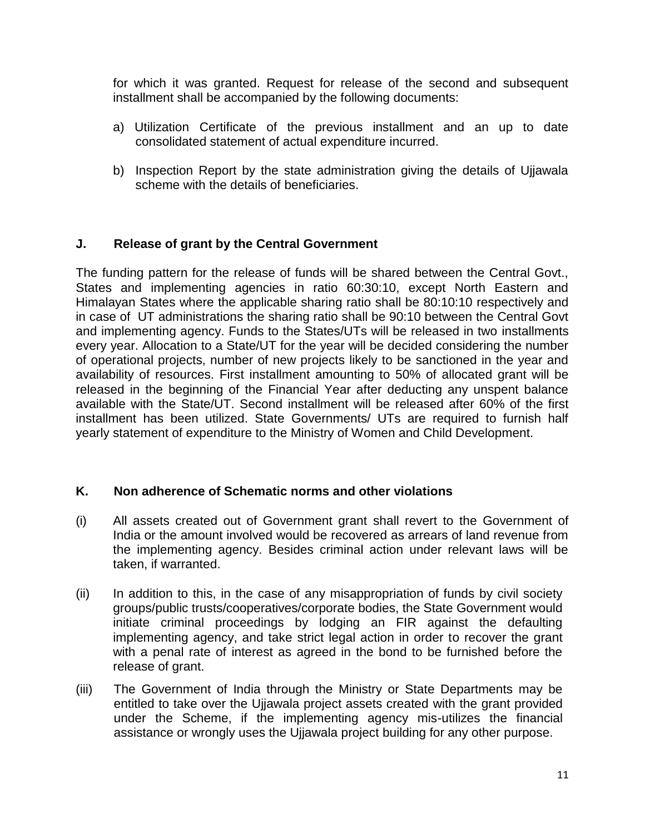for which it was granted. Request for release of the second and subsequent installment shall be accompanied by the following documents:

- a) Utilization Certificate of the previous installment and an up to date consolidated statement of actual expenditure incurred.
- b) Inspection Report by the state administration giving the details of Ujjawala scheme with the details of beneficiaries.

#### **J. Release of grant by the Central Government**

The funding pattern for the release of funds will be shared between the Central Govt., States and implementing agencies in ratio 60:30:10, except North Eastern and Himalayan States where the applicable sharing ratio shall be 80:10:10 respectively and in case of UT administrations the sharing ratio shall be 90:10 between the Central Govt and implementing agency. Funds to the States/UTs will be released in two installments every year. Allocation to a State/UT for the year will be decided considering the number of operational projects, number of new projects likely to be sanctioned in the year and availability of resources. First installment amounting to 50% of allocated grant will be released in the beginning of the Financial Year after deducting any unspent balance available with the State/UT. Second installment will be released after 60% of the first installment has been utilized. State Governments/ UTs are required to furnish half yearly statement of expenditure to the Ministry of Women and Child Development.

#### **K. Non adherence of Schematic norms and other violations**

- (i) All assets created out of Government grant shall revert to the Government of India or the amount involved would be recovered as arrears of land revenue from the implementing agency. Besides criminal action under relevant laws will be taken, if warranted.
- (ii) In addition to this, in the case of any misappropriation of funds by civil society groups/public trusts/cooperatives/corporate bodies, the State Government would initiate criminal proceedings by lodging an FIR against the defaulting implementing agency, and take strict legal action in order to recover the grant with a penal rate of interest as agreed in the bond to be furnished before the release of grant.
- (iii) The Government of India through the Ministry or State Departments may be entitled to take over the Ujjawala project assets created with the grant provided under the Scheme, if the implementing agency mis-utilizes the financial assistance or wrongly uses the Ujjawala project building for any other purpose.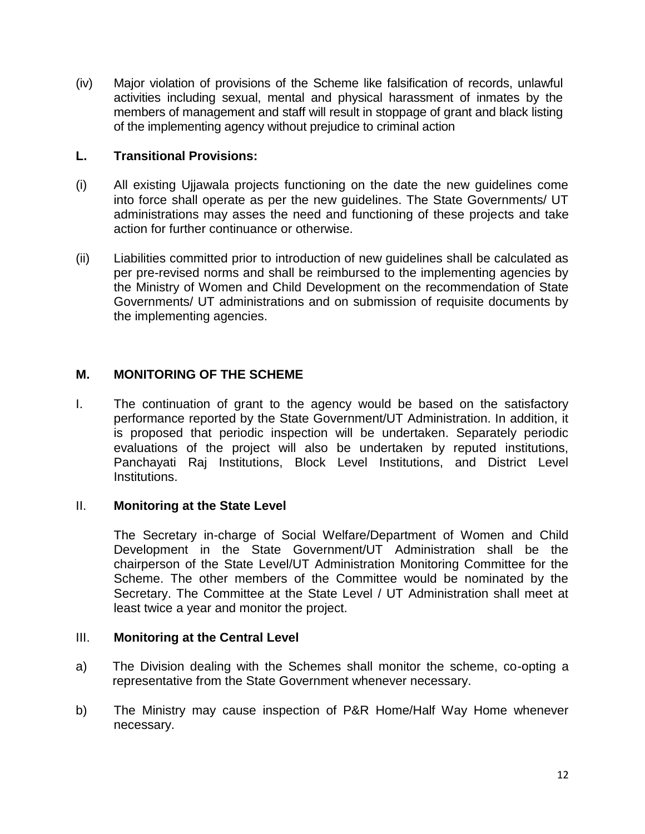(iv) Major violation of provisions of the Scheme like falsification of records, unlawful activities including sexual, mental and physical harassment of inmates by the members of management and staff will result in stoppage of grant and black listing of the implementing agency without prejudice to criminal action

#### **L. Transitional Provisions:**

- (i) All existing Ujjawala projects functioning on the date the new guidelines come into force shall operate as per the new guidelines. The State Governments/ UT administrations may asses the need and functioning of these projects and take action for further continuance or otherwise.
- (ii) Liabilities committed prior to introduction of new guidelines shall be calculated as per pre-revised norms and shall be reimbursed to the implementing agencies by the Ministry of Women and Child Development on the recommendation of State Governments/ UT administrations and on submission of requisite documents by the implementing agencies.

#### **M. MONITORING OF THE SCHEME**

I. The continuation of grant to the agency would be based on the satisfactory performance reported by the State Government/UT Administration. In addition, it is proposed that periodic inspection will be undertaken. Separately periodic evaluations of the project will also be undertaken by reputed institutions, Panchayati Raj Institutions, Block Level Institutions, and District Level Institutions.

#### II. **Monitoring at the State Level**

The Secretary in-charge of Social Welfare/Department of Women and Child Development in the State Government/UT Administration shall be the chairperson of the State Level/UT Administration Monitoring Committee for the Scheme. The other members of the Committee would be nominated by the Secretary. The Committee at the State Level / UT Administration shall meet at least twice a year and monitor the project.

#### III. **Monitoring at the Central Level**

- a) The Division dealing with the Schemes shall monitor the scheme, co-opting a representative from the State Government whenever necessary.
- b) The Ministry may cause inspection of P&R Home/Half Way Home whenever necessary.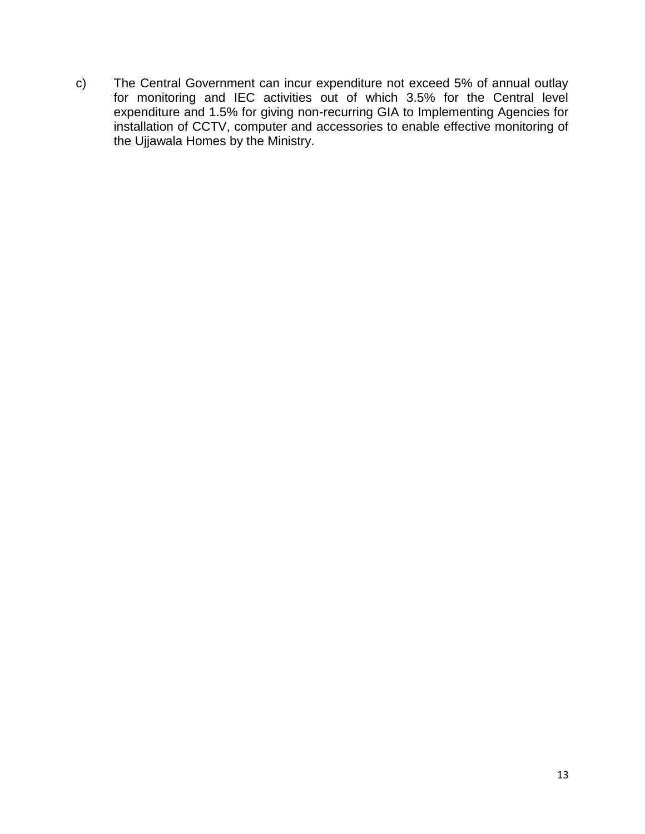c) The Central Government can incur expenditure not exceed 5% of annual outlay for monitoring and IEC activities out of which 3.5% for the Central level expenditure and 1.5% for giving non-recurring GIA to Implementing Agencies for installation of CCTV, computer and accessories to enable effective monitoring of the Ujjawala Homes by the Ministry.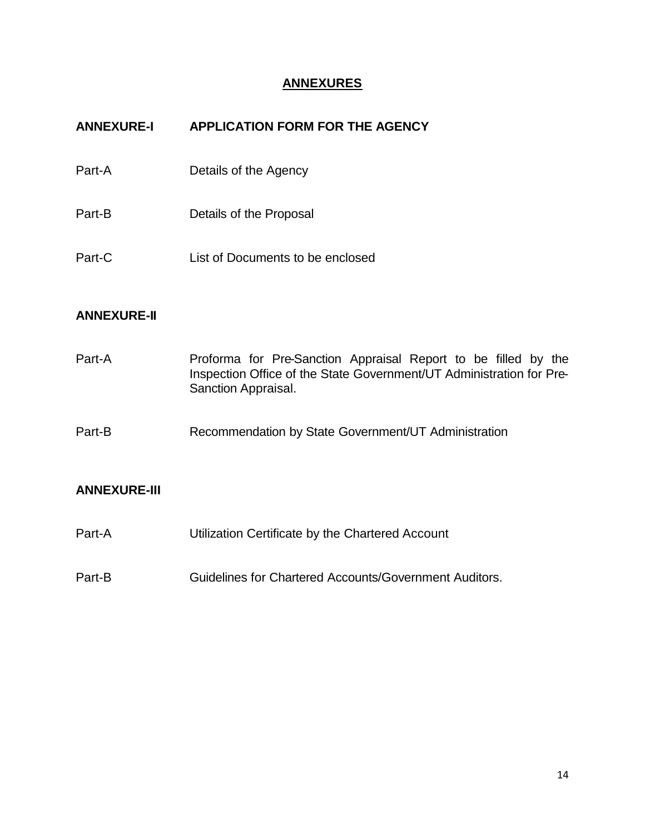## **ANNEXURES**

| <b>ANNEXURE-I</b> | APPLICATION FORM FOR THE AGENCY  |
|-------------------|----------------------------------|
| Part-A            | Details of the Agency            |
| Part-B            | Details of the Proposal          |
| Part-C            | List of Documents to be enclosed |
|                   |                                  |

#### **ANNEXURE-II**

| Part-A | Proforma for Pre-Sanction Appraisal Report to be filled by the       |
|--------|----------------------------------------------------------------------|
|        | Inspection Office of the State Government/UT Administration for Pre- |
|        | Sanction Appraisal.                                                  |

Part-B Recommendation by State Government/UT Administration

# **ANNEXURE-III**

- Part-A Utilization Certificate by the Chartered Account
- Part-B Guidelines for Chartered Accounts/Government Auditors.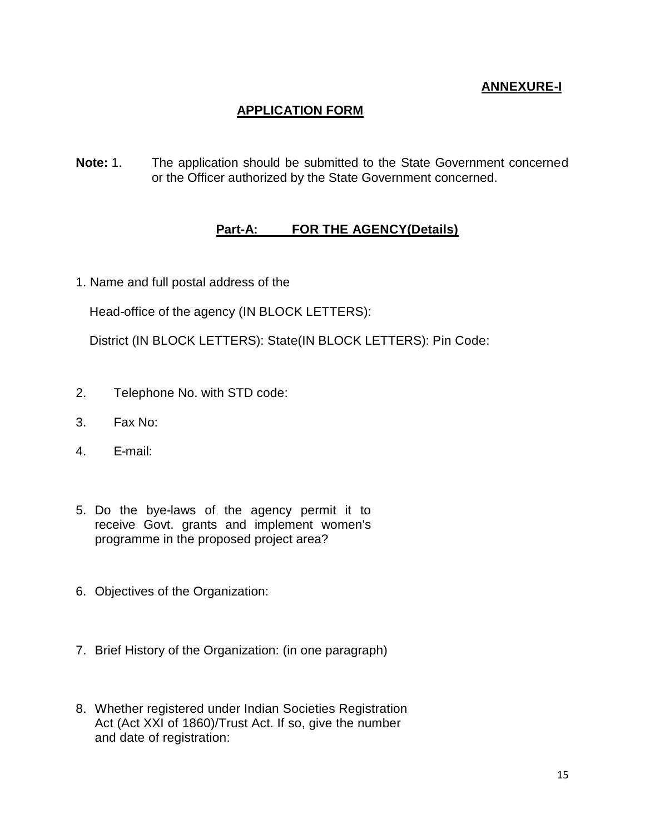# **ANNEXURE-I**

# **APPLICATION FORM**

**Note:** 1. The application should be submitted to the State Government concerned or the Officer authorized by the State Government concerned.

#### **Part-A: FOR THE AGENCY(Details)**

1. Name and full postal address of the

Head-office of the agency (IN BLOCK LETTERS):

District (IN BLOCK LETTERS): State(IN BLOCK LETTERS): Pin Code:

- 2. Telephone No. with STD code:
- 3. Fax No:
- 4. E-mail:
- 5. Do the bye-laws of the agency permit it to receive Govt. grants and implement women's programme in the proposed project area?
- 6. Objectives of the Organization:
- 7. Brief History of the Organization: (in one paragraph)
- 8. Whether registered under Indian Societies Registration Act (Act XXI of 1860)/Trust Act. If so, give the number and date of registration: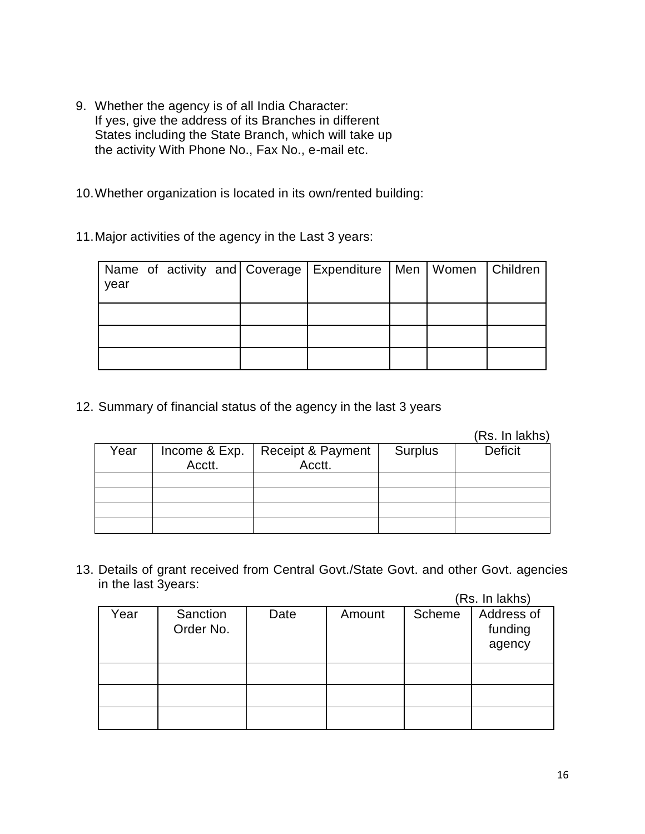9. Whether the agency is of all India Character: If yes, give the address of its Branches in different States including the State Branch, which will take up the activity With Phone No., Fax No., e-mail etc.

10.Whether organization is located in its own/rented building:

11.Major activities of the agency in the Last 3 years:

| year |  |  | Name of activity and Coverage   Expenditure   Men   Women   Children |  |  |
|------|--|--|----------------------------------------------------------------------|--|--|
|      |  |  |                                                                      |  |  |
|      |  |  |                                                                      |  |  |
|      |  |  |                                                                      |  |  |

12. Summary of financial status of the agency in the last 3 years

(Rs. In lakhs)

| Year | Income & Exp. $\vert$<br>Acctt. | Receipt & Payment  <br>Acctt. | Surplus | <b>Deficit</b> |
|------|---------------------------------|-------------------------------|---------|----------------|
|      |                                 |                               |         |                |
|      |                                 |                               |         |                |
|      |                                 |                               |         |                |
|      |                                 |                               |         |                |

13. Details of grant received from Central Govt./State Govt. and other Govt. agencies in the last 3years:  $(D_0, \text{In label}$ 

|      |                       |      |        |        | (RS. In lakns)                  |
|------|-----------------------|------|--------|--------|---------------------------------|
| Year | Sanction<br>Order No. | Date | Amount | Scheme | Address of<br>funding<br>agency |
|      |                       |      |        |        |                                 |
|      |                       |      |        |        |                                 |
|      |                       |      |        |        |                                 |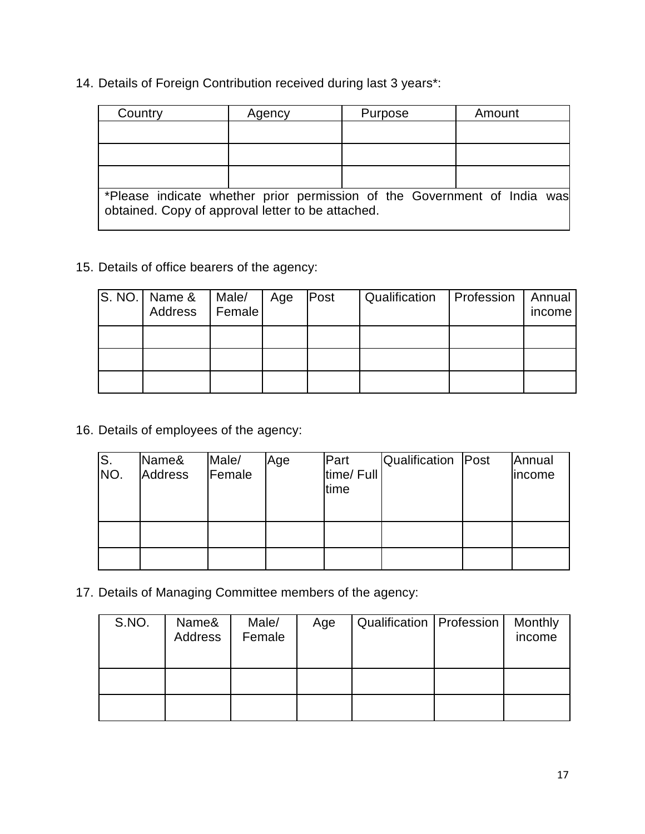14. Details of Foreign Contribution received during last 3 years\*:

| Country                                                                                                                       | Agency | Purpose | Amount |  |  |  |
|-------------------------------------------------------------------------------------------------------------------------------|--------|---------|--------|--|--|--|
|                                                                                                                               |        |         |        |  |  |  |
|                                                                                                                               |        |         |        |  |  |  |
|                                                                                                                               |        |         |        |  |  |  |
| *Please indicate whether prior permission of the Government of India was<br>obtained. Copy of approval letter to be attached. |        |         |        |  |  |  |

15. Details of office bearers of the agency:

| S. NO.   Name &<br>Address | Male/<br>Female | Age | Post | Qualification   Profession | Annual<br>income |
|----------------------------|-----------------|-----|------|----------------------------|------------------|
|                            |                 |     |      |                            |                  |
|                            |                 |     |      |                            |                  |
|                            |                 |     |      |                            |                  |

16. Details of employees of the agency:

| S.  | Name&          | Male/  | Age | Part       | Qualification   Post | Annual |
|-----|----------------|--------|-----|------------|----------------------|--------|
| NO. | <b>Address</b> | Female |     | time/ Full |                      | income |
|     |                |        |     | time       |                      |        |
|     |                |        |     |            |                      |        |
|     |                |        |     |            |                      |        |
|     |                |        |     |            |                      |        |
|     |                |        |     |            |                      |        |
|     |                |        |     |            |                      |        |

17. Details of Managing Committee members of the agency:

| S.NO. | Name&<br>Address | Male/<br>Female | Age | Qualification   Profession | Monthly<br>income |
|-------|------------------|-----------------|-----|----------------------------|-------------------|
|       |                  |                 |     |                            |                   |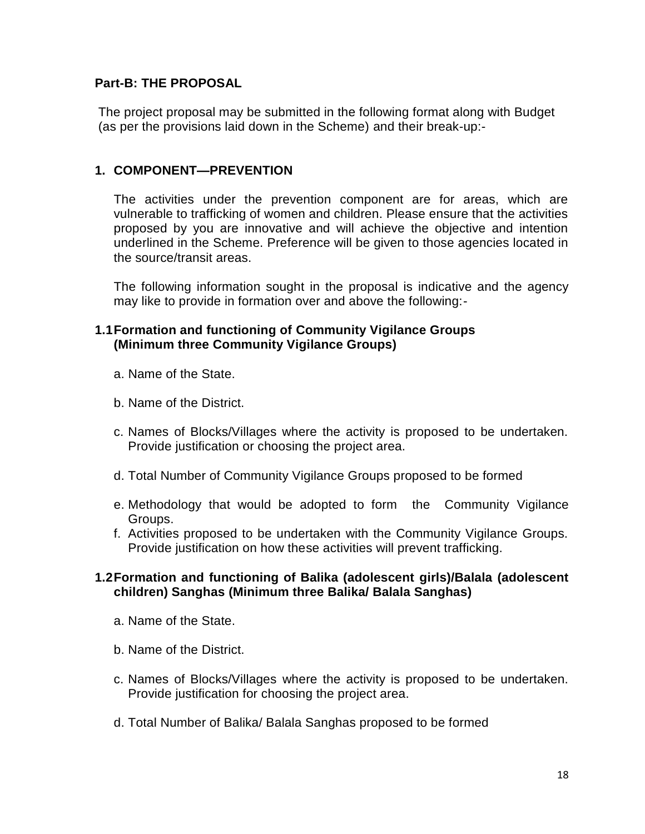#### **Part-B: THE PROPOSAL**

The project proposal may be submitted in the following format along with Budget (as per the provisions laid down in the Scheme) and their break-up:-

#### **1. COMPONENT—PREVENTION**

The activities under the prevention component are for areas, which are vulnerable to trafficking of women and children. Please ensure that the activities proposed by you are innovative and will achieve the objective and intention underlined in the Scheme. Preference will be given to those agencies located in the source/transit areas.

The following information sought in the proposal is indicative and the agency may like to provide in formation over and above the following:-

#### **1.1Formation and functioning of Community Vigilance Groups (Minimum three Community Vigilance Groups)**

- a. Name of the State.
- b. Name of the District.
- c. Names of Blocks/Villages where the activity is proposed to be undertaken. Provide justification or choosing the project area.
- d. Total Number of Community Vigilance Groups proposed to be formed
- e. Methodology that would be adopted to form the Community Vigilance Groups.
- f. Activities proposed to be undertaken with the Community Vigilance Groups. Provide justification on how these activities will prevent trafficking.

#### **1.2Formation and functioning of Balika (adolescent girls)/Balala (adolescent children) Sanghas (Minimum three Balika/ Balala Sanghas)**

- a. Name of the State.
- b. Name of the District.
- c. Names of Blocks/Villages where the activity is proposed to be undertaken. Provide justification for choosing the project area.
- d. Total Number of Balika/ Balala Sanghas proposed to be formed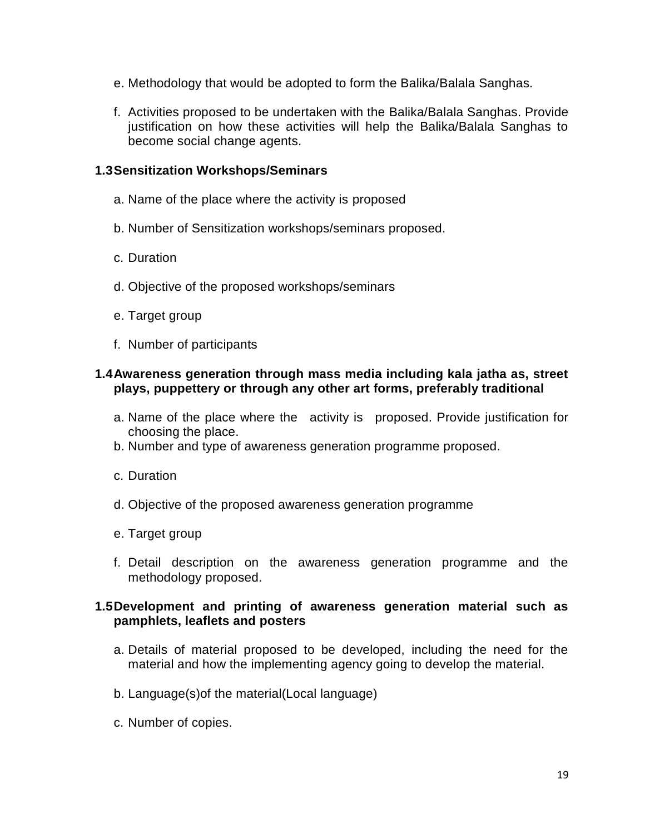- e. Methodology that would be adopted to form the Balika/Balala Sanghas.
- f. Activities proposed to be undertaken with the Balika/Balala Sanghas. Provide justification on how these activities will help the Balika/Balala Sanghas to become social change agents.

#### **1.3Sensitization Workshops/Seminars**

- a. Name of the place where the activity is proposed
- b. Number of Sensitization workshops/seminars proposed.
- c. Duration
- d. Objective of the proposed workshops/seminars
- e. Target group
- f. Number of participants

#### **1.4Awareness generation through mass media including kala jatha as, street plays, puppettery or through any other art forms, preferably traditional**

- a. Name of the place where the activity is proposed. Provide justification for choosing the place.
- b. Number and type of awareness generation programme proposed.
- c. Duration
- d. Objective of the proposed awareness generation programme
- e. Target group
- f. Detail description on the awareness generation programme and the methodology proposed.

#### **1.5Development and printing of awareness generation material such as pamphlets, leaflets and posters**

- a. Details of material proposed to be developed, including the need for the material and how the implementing agency going to develop the material.
- b. Language(s)of the material(Local language)
- c. Number of copies.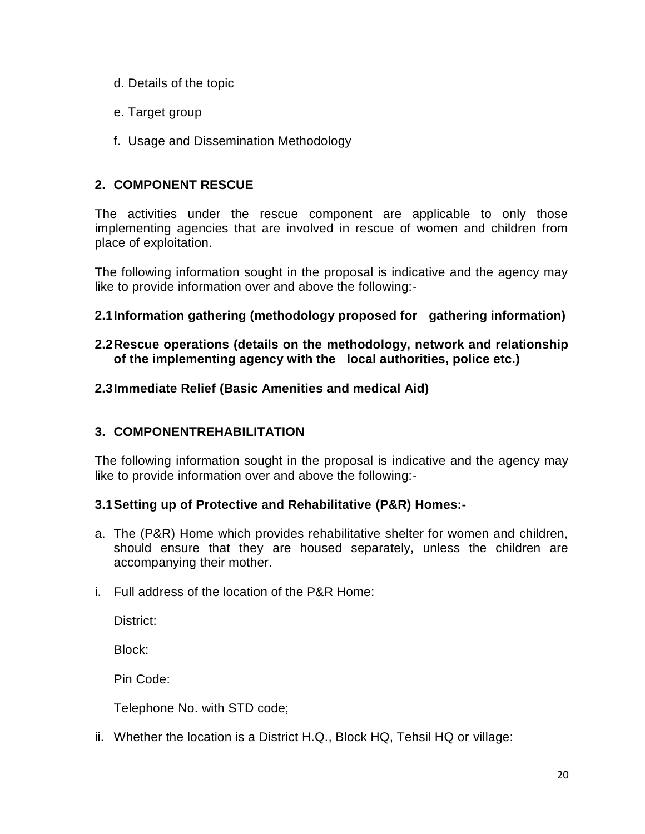- d. Details of the topic
- e. Target group
- f. Usage and Dissemination Methodology

# **2. COMPONENT RESCUE**

The activities under the rescue component are applicable to only those implementing agencies that are involved in rescue of women and children from place of exploitation.

The following information sought in the proposal is indicative and the agency may like to provide information over and above the following:-

#### **2.1Information gathering (methodology proposed for gathering information)**

#### **2.2Rescue operations (details on the methodology, network and relationship of the implementing agency with the local authorities, police etc.)**

#### **2.3Immediate Relief (Basic Amenities and medical Aid)**

# **3. COMPONENTREHABILITATION**

The following information sought in the proposal is indicative and the agency may like to provide information over and above the following:-

#### **3.1Setting up of Protective and Rehabilitative (P&R) Homes:-**

- a. The (P&R) Home which provides rehabilitative shelter for women and children, should ensure that they are housed separately, unless the children are accompanying their mother.
- i. Full address of the location of the P&R Home:

District:

Block:

Pin Code:

Telephone No. with STD code;

ii. Whether the location is a District H.Q., Block HQ, Tehsil HQ or village: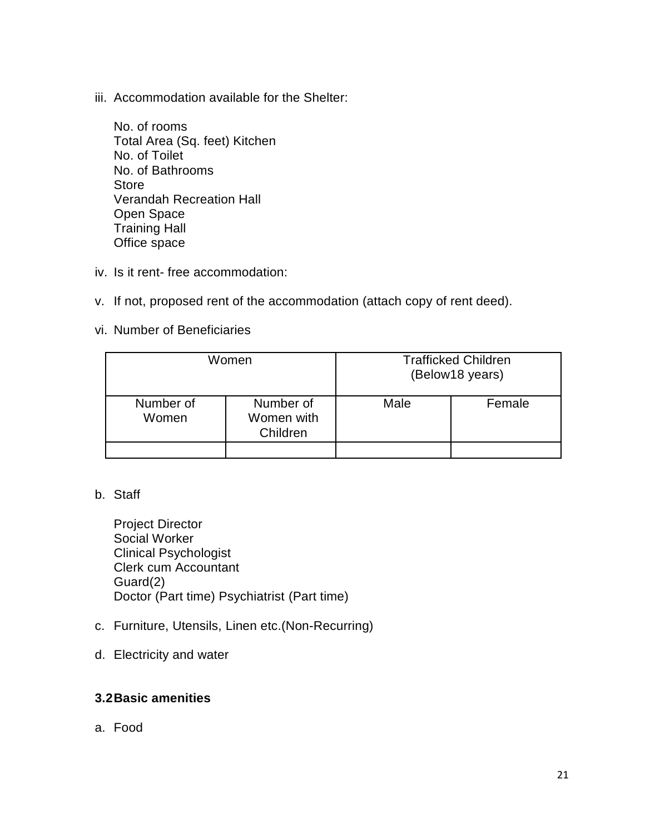iii. Accommodation available for the Shelter:

No. of rooms Total Area (Sq. feet) Kitchen No. of Toilet No. of Bathrooms Store Verandah Recreation Hall Open Space Training Hall Office space

- iv. Is it rent- free accommodation:
- v. If not, proposed rent of the accommodation (attach copy of rent deed).
- vi. Number of Beneficiaries

|                    | Women                               | <b>Trafficked Children</b><br>(Below18 years) |        |  |
|--------------------|-------------------------------------|-----------------------------------------------|--------|--|
| Number of<br>Women | Number of<br>Women with<br>Children | Male                                          | Female |  |
|                    |                                     |                                               |        |  |

#### b. Staff

Project Director Social Worker Clinical Psychologist Clerk cum Accountant Guard(2) Doctor (Part time) Psychiatrist (Part time)

- c. Furniture, Utensils, Linen etc.(Non-Recurring)
- d. Electricity and water

#### **3.2Basic amenities**

a. Food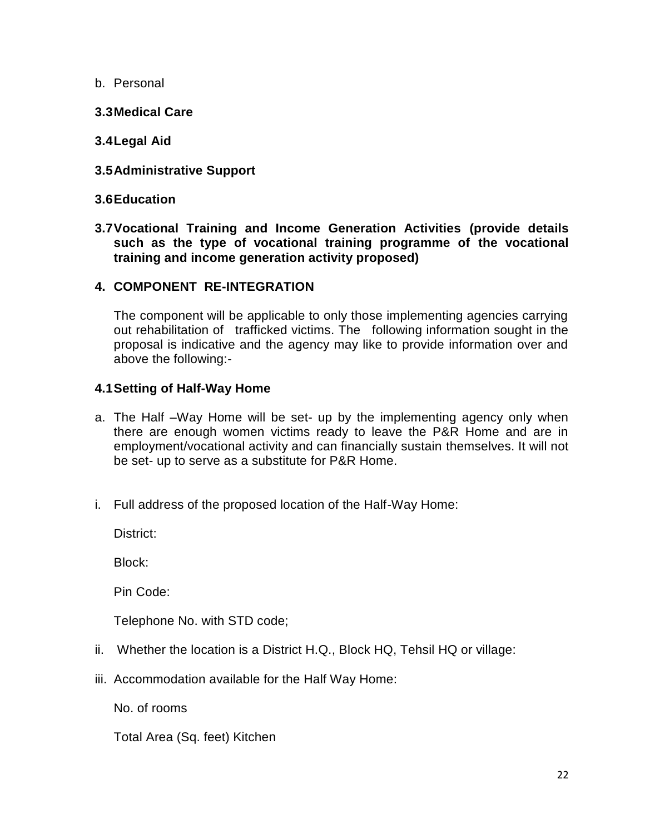- b. Personal
- **3.3Medical Care**
- **3.4Legal Aid**
- **3.5Administrative Support**

#### **3.6Education**

**3.7Vocational Training and Income Generation Activities (provide details such as the type of vocational training programme of the vocational training and income generation activity proposed)**

#### **4. COMPONENT RE-INTEGRATION**

The component will be applicable to only those implementing agencies carrying out rehabilitation of trafficked victims. The following information sought in the proposal is indicative and the agency may like to provide information over and above the following:-

#### **4.1Setting of Half-Way Home**

- a. The Half –Way Home will be set- up by the implementing agency only when there are enough women victims ready to leave the P&R Home and are in employment/vocational activity and can financially sustain themselves. It will not be set- up to serve as a substitute for P&R Home.
- i. Full address of the proposed location of the Half-Way Home:

District:

Block:

Pin Code:

Telephone No. with STD code;

- ii. Whether the location is a District H.Q., Block HQ, Tehsil HQ or village:
- iii. Accommodation available for the Half Way Home:

No. of rooms

Total Area (Sq. feet) Kitchen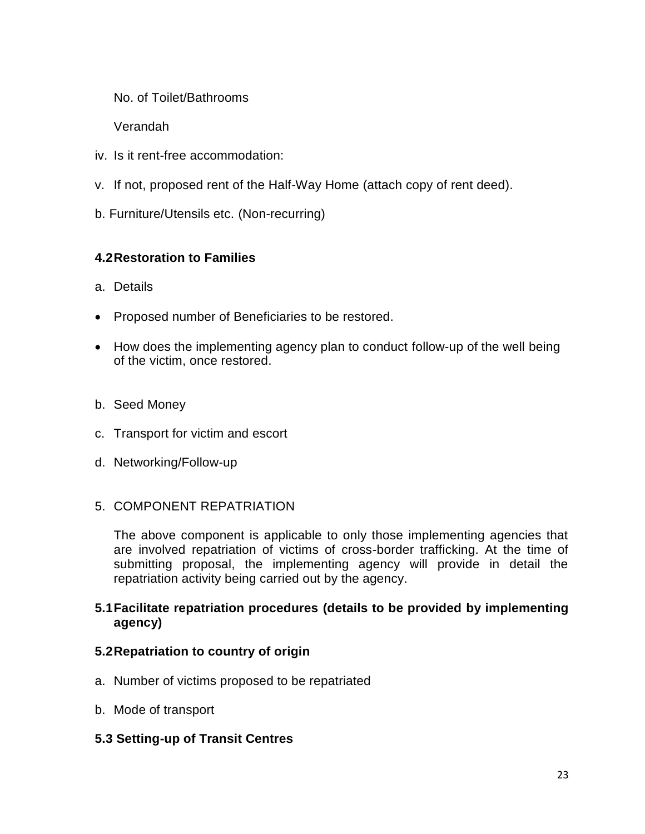No. of Toilet/Bathrooms

Verandah

- iv. Is it rent-free accommodation:
- v. If not, proposed rent of the Half-Way Home (attach copy of rent deed).
- b. Furniture/Utensils etc. (Non-recurring)

# **4.2Restoration to Families**

- a. Details
- Proposed number of Beneficiaries to be restored.
- How does the implementing agency plan to conduct follow-up of the well being of the victim, once restored.
- b. Seed Money
- c. Transport for victim and escort
- d. Networking/Follow-up

# 5. COMPONENT REPATRIATION

The above component is applicable to only those implementing agencies that are involved repatriation of victims of cross-border trafficking. At the time of submitting proposal, the implementing agency will provide in detail the repatriation activity being carried out by the agency.

#### **5.1Facilitate repatriation procedures (details to be provided by implementing agency)**

#### **5.2Repatriation to country of origin**

- a. Number of victims proposed to be repatriated
- b. Mode of transport

# **5.3 Setting-up of Transit Centres**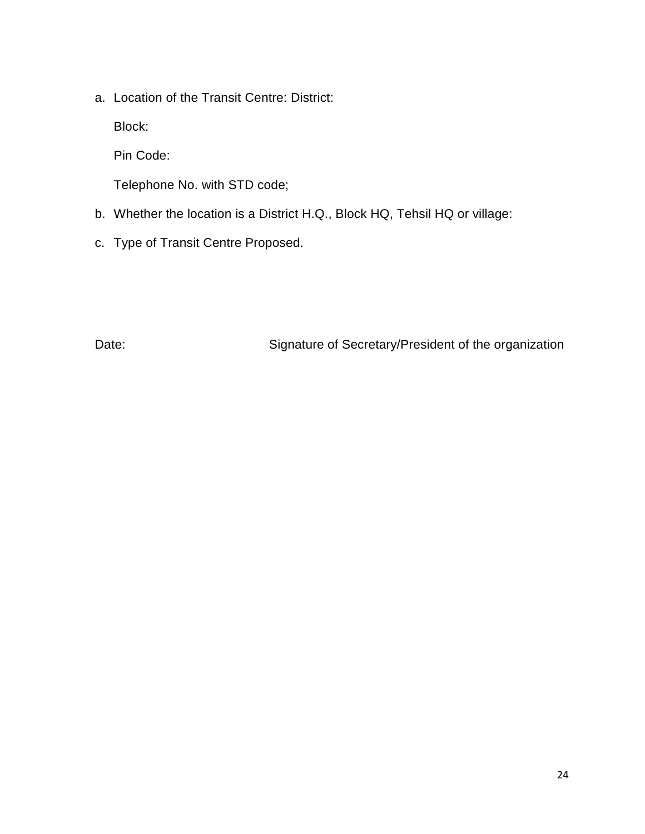a. Location of the Transit Centre: District:

Block:

Pin Code:

Telephone No. with STD code;

- b. Whether the location is a District H.Q., Block HQ, Tehsil HQ or village:
- c. Type of Transit Centre Proposed.

Date: **Date:** Signature of Secretary/President of the organization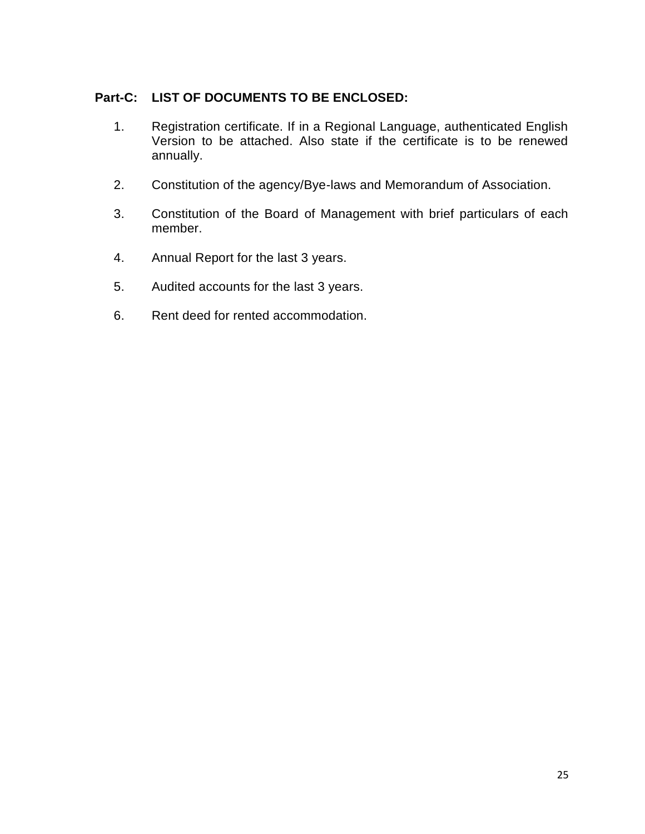# **Part-C: LIST OF DOCUMENTS TO BE ENCLOSED:**

- 1. Registration certificate. If in a Regional Language, authenticated English Version to be attached. Also state if the certificate is to be renewed annually.
- 2. Constitution of the agency/Bye-laws and Memorandum of Association.
- 3. Constitution of the Board of Management with brief particulars of each member.
- 4. Annual Report for the last 3 years.
- 5. Audited accounts for the last 3 years.
- 6. Rent deed for rented accommodation.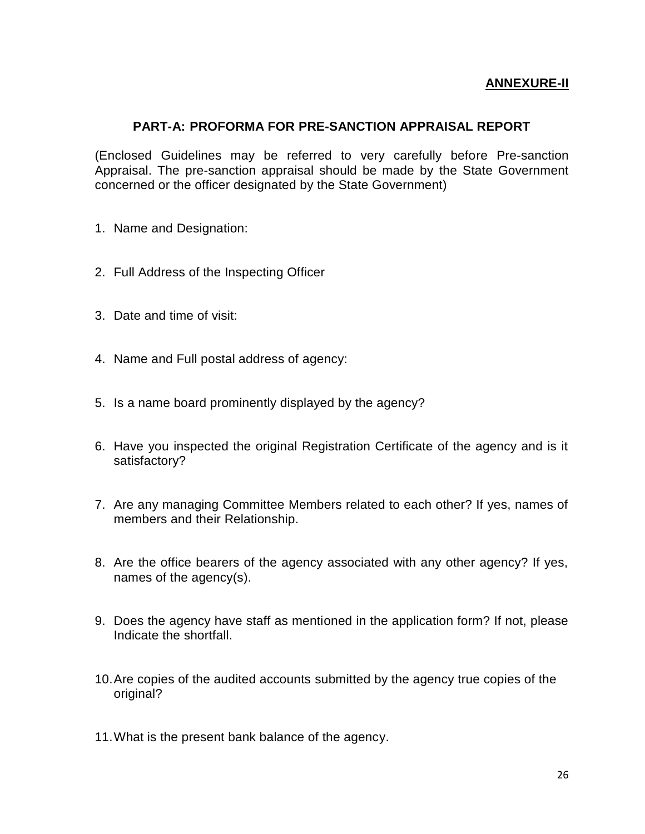#### **ANNEXURE-II**

#### **PART-A: PROFORMA FOR PRE-SANCTION APPRAISAL REPORT**

(Enclosed Guidelines may be referred to very carefully before Pre-sanction Appraisal. The pre-sanction appraisal should be made by the State Government concerned or the officer designated by the State Government)

- 1. Name and Designation:
- 2. Full Address of the Inspecting Officer
- 3. Date and time of visit:
- 4. Name and Full postal address of agency:
- 5. Is a name board prominently displayed by the agency?
- 6. Have you inspected the original Registration Certificate of the agency and is it satisfactory?
- 7. Are any managing Committee Members related to each other? If yes, names of members and their Relationship.
- 8. Are the office bearers of the agency associated with any other agency? If yes, names of the agency(s).
- 9. Does the agency have staff as mentioned in the application form? If not, please Indicate the shortfall.
- 10.Are copies of the audited accounts submitted by the agency true copies of the original?
- 11.What is the present bank balance of the agency.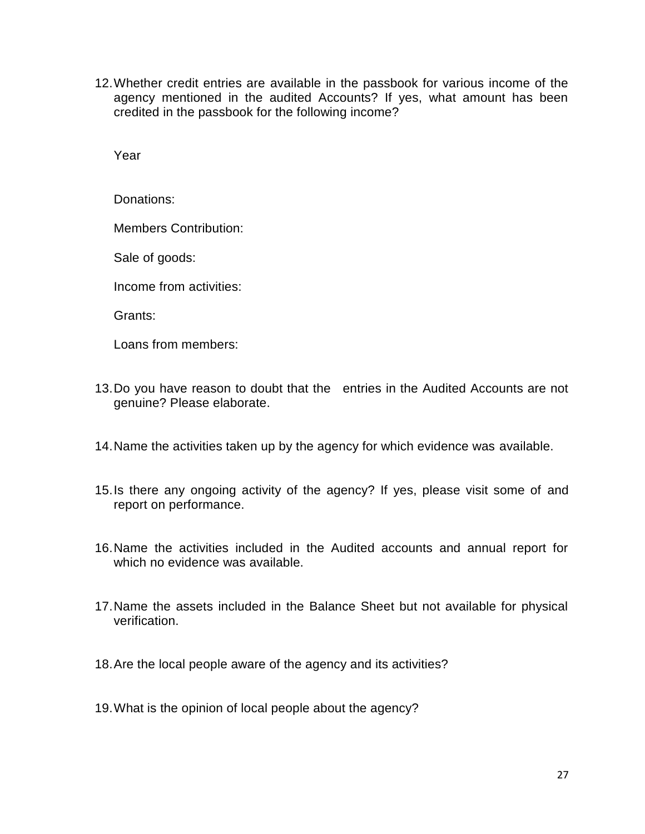12.Whether credit entries are available in the passbook for various income of the agency mentioned in the audited Accounts? If yes, what amount has been credited in the passbook for the following income?

Year

Donations:

Members Contribution:

Sale of goods:

Income from activities:

Grants:

Loans from members:

- 13.Do you have reason to doubt that the entries in the Audited Accounts are not genuine? Please elaborate.
- 14.Name the activities taken up by the agency for which evidence was available.
- 15.Is there any ongoing activity of the agency? If yes, please visit some of and report on performance.
- 16.Name the activities included in the Audited accounts and annual report for which no evidence was available.
- 17.Name the assets included in the Balance Sheet but not available for physical verification.
- 18.Are the local people aware of the agency and its activities?
- 19.What is the opinion of local people about the agency?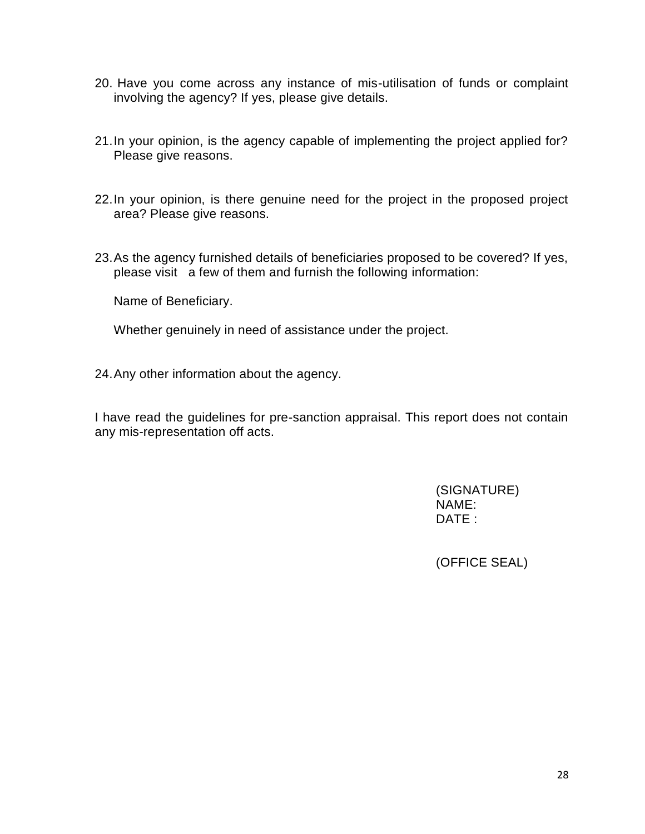- 20. Have you come across any instance of mis-utilisation of funds or complaint involving the agency? If yes, please give details.
- 21.In your opinion, is the agency capable of implementing the project applied for? Please give reasons.
- 22.In your opinion, is there genuine need for the project in the proposed project area? Please give reasons.
- 23.As the agency furnished details of beneficiaries proposed to be covered? If yes, please visit a few of them and furnish the following information:

Name of Beneficiary.

Whether genuinely in need of assistance under the project.

24.Any other information about the agency.

I have read the guidelines for pre-sanction appraisal. This report does not contain any mis-representation off acts.

> (SIGNATURE) NAME: DATE :

(OFFICE SEAL)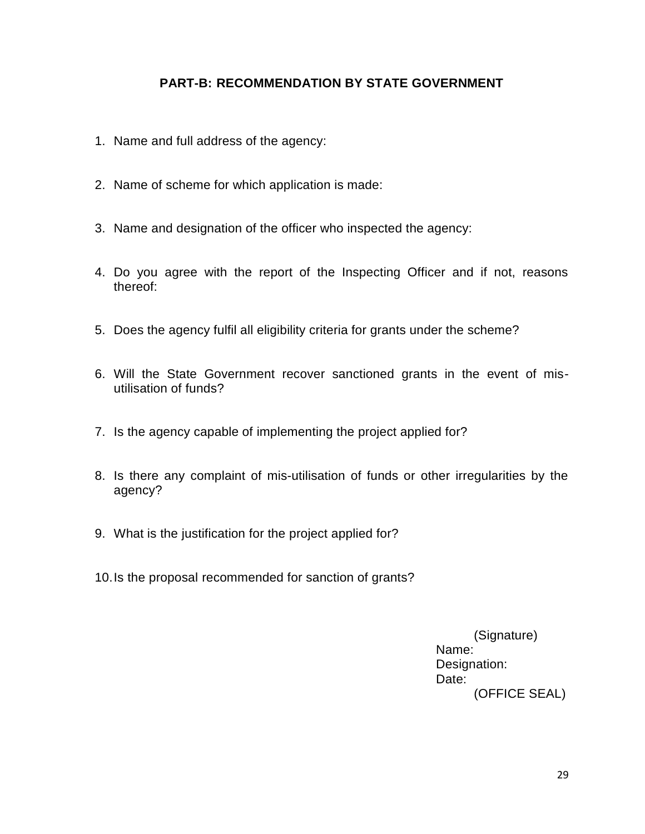# **PART-B: RECOMMENDATION BY STATE GOVERNMENT**

- 1. Name and full address of the agency:
- 2. Name of scheme for which application is made:
- 3. Name and designation of the officer who inspected the agency:
- 4. Do you agree with the report of the Inspecting Officer and if not, reasons thereof:
- 5. Does the agency fulfil all eligibility criteria for grants under the scheme?
- 6. Will the State Government recover sanctioned grants in the event of misutilisation of funds?
- 7. Is the agency capable of implementing the project applied for?
- 8. Is there any complaint of mis-utilisation of funds or other irregularities by the agency?
- 9. What is the justification for the project applied for?
- 10.Is the proposal recommended for sanction of grants?

(Signature) Name: Designation: Date: (OFFICE SEAL)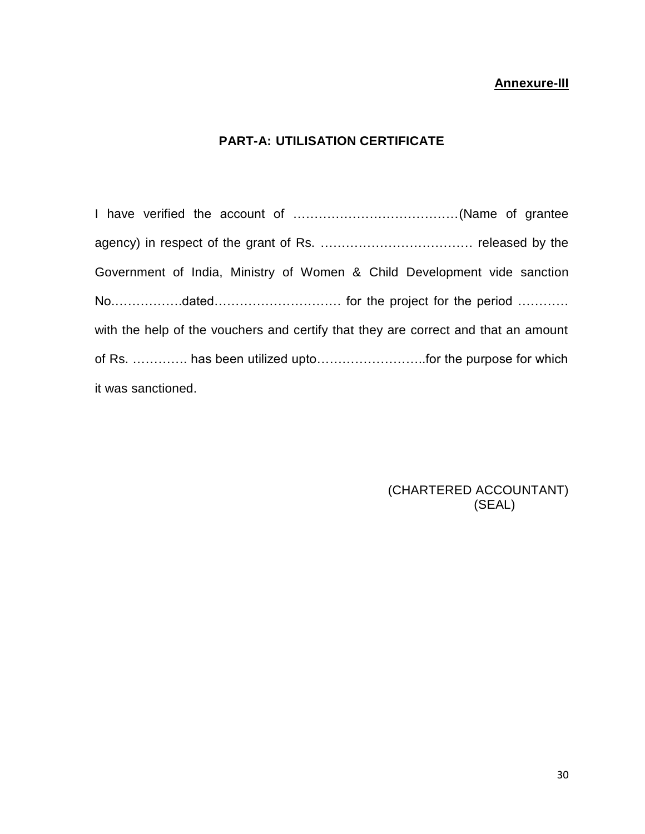#### **Annexure-III**

# **PART-A: UTILISATION CERTIFICATE**

I have verified the account of …………………………………(Name of grantee agency) in respect of the grant of Rs. ……………………………… released by the Government of India, Ministry of Women & Child Development vide sanction No.…………….dated………………………… for the project for the period ………… with the help of the vouchers and certify that they are correct and that an amount of Rs. …………. has been utilized upto……………………..for the purpose for which it was sanctioned.

> (CHARTERED ACCOUNTANT) (SEAL)